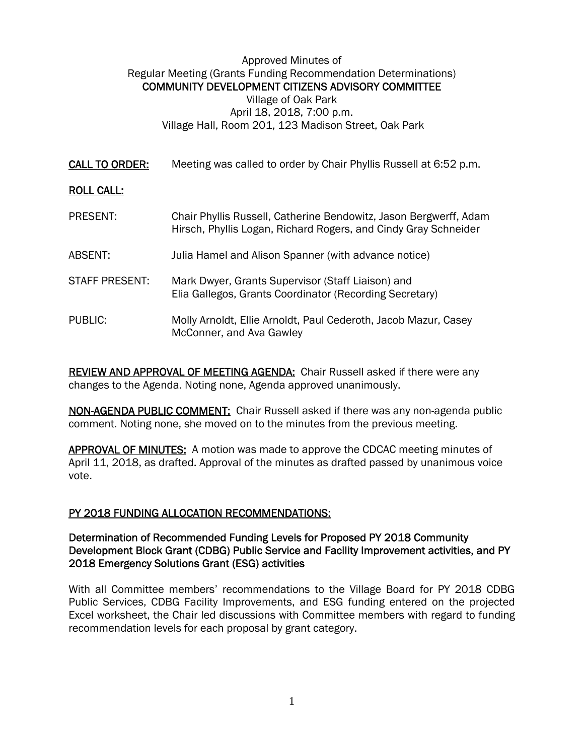### Approved Minutes of Regular Meeting (Grants Funding Recommendation Determinations) COMMUNITY DEVELOPMENT CITIZENS ADVISORY COMMITTEE Village of Oak Park April 18, 2018, 7:00 p.m.

Village Hall, Room 201, 123 Madison Street, Oak Park

CALL TO ORDER: Meeting was called to order by Chair Phyllis Russell at 6:52 p.m.

# ROLL CALL:

PRESENT: Chair Phyllis Russell, Catherine Bendowitz, Jason Bergwerff, Adam Hirsch, Phyllis Logan, Richard Rogers, and Cindy Gray Schneider ABSENT: Julia Hamel and Alison Spanner (with advance notice) STAFF PRESENT: Mark Dwyer, Grants Supervisor (Staff Liaison) and Elia Gallegos, Grants Coordinator (Recording Secretary) PUBLIC: Molly Arnoldt, Ellie Arnoldt, Paul Cederoth, Jacob Mazur, Casey McConner, and Ava Gawley

REVIEW AND APPROVAL OF MEETING AGENDA: Chair Russell asked if there were any changes to the Agenda. Noting none, Agenda approved unanimously.

NON-AGENDA PUBLIC COMMENT: Chair Russell asked if there was any non-agenda public comment. Noting none, she moved on to the minutes from the previous meeting.

APPROVAL OF MINUTES: A motion was made to approve the CDCAC meeting minutes of April 11, 2018, as drafted. Approval of the minutes as drafted passed by unanimous voice vote.

## PY 2018 FUNDING ALLOCATION RECOMMENDATIONS:

### Determination of Recommended Funding Levels for Proposed PY 2018 Community Development Block Grant (CDBG) Public Service and Facility Improvement activities, and PY 2018 Emergency Solutions Grant (ESG) activities

With all Committee members' recommendations to the Village Board for PY 2018 CDBG Public Services, CDBG Facility Improvements, and ESG funding entered on the projected Excel worksheet, the Chair led discussions with Committee members with regard to funding recommendation levels for each proposal by grant category.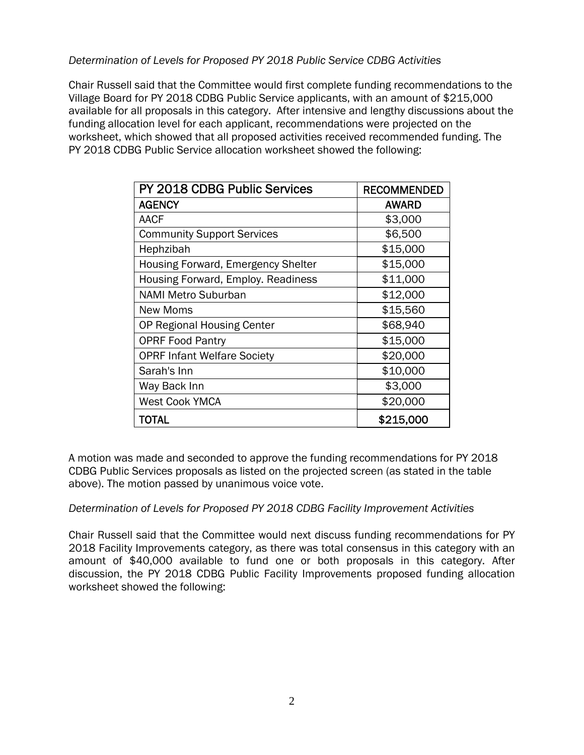### *Determination of Levels for Proposed PY 2018 Public Service CDBG Activities*

Chair Russell said that the Committee would first complete funding recommendations to the Village Board for PY 2018 CDBG Public Service applicants, with an amount of \$215,000 available for all proposals in this category. After intensive and lengthy discussions about the funding allocation level for each applicant, recommendations were projected on the worksheet, which showed that all proposed activities received recommended funding. The PY 2018 CDBG Public Service allocation worksheet showed the following:

| PY 2018 CDBG Public Services       | <b>RECOMMENDED</b> |
|------------------------------------|--------------------|
| <b>AGENCY</b>                      | <b>AWARD</b>       |
| <b>AACF</b>                        | \$3,000            |
| <b>Community Support Services</b>  | \$6,500            |
| Hephzibah                          | \$15,000           |
| Housing Forward, Emergency Shelter | \$15,000           |
| Housing Forward, Employ. Readiness | \$11,000           |
| <b>NAMI Metro Suburban</b>         | \$12,000           |
| New Moms                           | \$15,560           |
| <b>OP Regional Housing Center</b>  | \$68,940           |
| <b>OPRF Food Pantry</b>            | \$15,000           |
| <b>OPRF Infant Welfare Society</b> | \$20,000           |
| Sarah's Inn                        | \$10,000           |
| Way Back Inn                       | \$3,000            |
| <b>West Cook YMCA</b>              | \$20,000           |
| <b>TOTAL</b>                       | \$215,000          |

A motion was made and seconded to approve the funding recommendations for PY 2018 CDBG Public Services proposals as listed on the projected screen (as stated in the table above). The motion passed by unanimous voice vote.

#### *Determination of Levels for Proposed PY 2018 CDBG Facility Improvement Activities*

Chair Russell said that the Committee would next discuss funding recommendations for PY 2018 Facility Improvements category, as there was total consensus in this category with an amount of \$40,000 available to fund one or both proposals in this category. After discussion, the PY 2018 CDBG Public Facility Improvements proposed funding allocation worksheet showed the following: